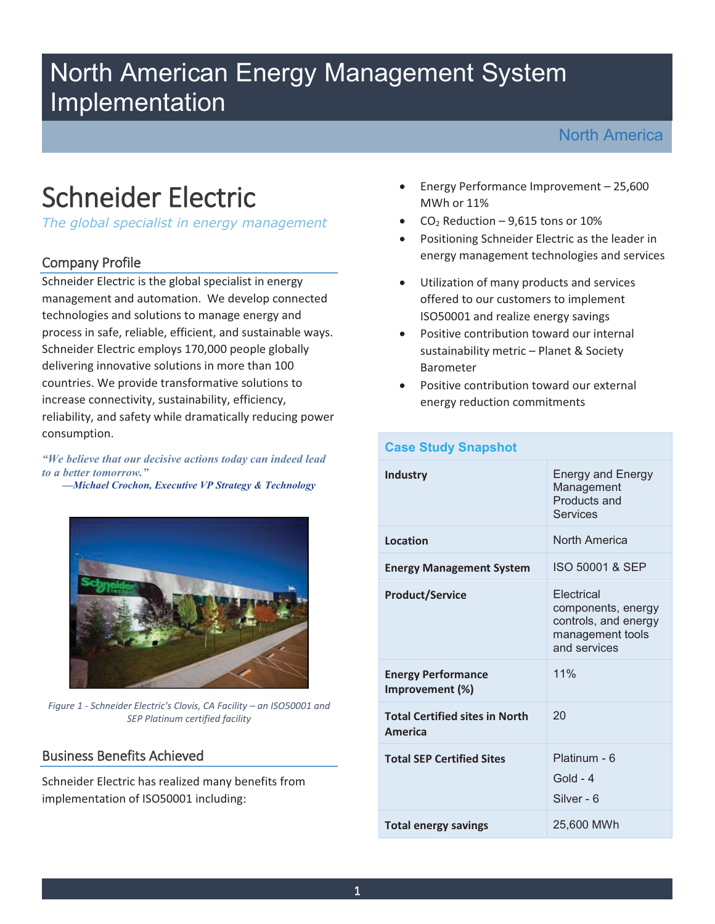## North American Energy Management System Implementation

# Schneider Electric

*The global specialist in energy management* 

#### Company Profile

Schneider Electric is the global specialist in energy management and automation. We develop connected technologies and solutions to manage energy and process in safe, reliable, efficient, and sustainable ways. Schneider Electric employs 170,000 people globally delivering innovative solutions in more than 100 countries. We provide transformative solutions to increase connectivity, sustainability, efficiency, reliability, and safety while dramatically reducing power consumption.

*"We believe that our decisive actions today can indeed lead to a better tomorrow."* 

*—Michael Crochon, Executive VP Strategy & Technology* 



*Figure 1 - Schneider Electric's Clovis, CA Facility – an ISO50001 and SEP Platinum certified facility* 

#### Business Benefits Achieved

Schneider Electric has realized many benefits from implementation of ISO50001 including:

- Energy Performance Improvement 25,600 MWh or 11%
- $CO<sub>2</sub>$  Reduction 9,615 tons or 10%
- Positioning Schneider Electric as the leader in energy management technologies and services
- Utilization of many products and services offered to our customers to implement ISO50001 and realize energy savings
- Positive contribution toward our internal sustainability metric – Planet & Society Barometer
- Positive contribution toward our external energy reduction commitments

| <b>Case Study Snapshot</b>                              |                                                                                                     |
|---------------------------------------------------------|-----------------------------------------------------------------------------------------------------|
| <b>Industry</b>                                         | <b>Energy and Energy</b><br>Management<br>Products and<br><b>Services</b>                           |
| Location                                                | North America                                                                                       |
| <b>Energy Management System</b>                         | ISO 50001 & SEP                                                                                     |
| <b>Product/Service</b>                                  | <b>Flectrical</b><br>components, energy<br>controls, and energy<br>management tools<br>and services |
| <b>Energy Performance</b><br>Improvement (%)            | 11%                                                                                                 |
| <b>Total Certified sites in North</b><br><b>America</b> | 20                                                                                                  |
| <b>Total SEP Certified Sites</b>                        | Platinum - 6<br>$Gold - 4$<br>Silver - 6                                                            |
| <b>Total energy savings</b>                             | 25,600 MWh                                                                                          |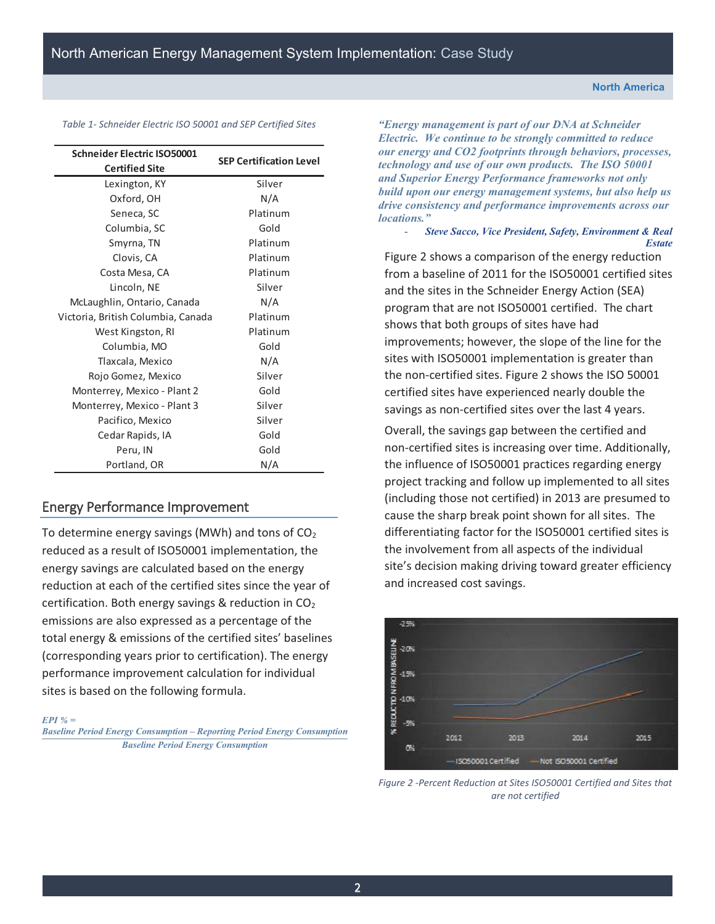| <b>Schneider Electric ISO50001</b> | <b>SEP Certification Level</b> |
|------------------------------------|--------------------------------|
| <b>Certified Site</b>              |                                |
| Lexington, KY                      | Silver                         |
| Oxford, OH                         | N/A                            |
| Seneca, SC                         | Platinum                       |
| Columbia, SC                       | Gold                           |
| Smyrna, TN                         | Platinum                       |
| Clovis, CA                         | Platinum                       |
| Costa Mesa, CA                     | Platinum                       |
| Lincoln, NE                        | Silver                         |
| McLaughlin, Ontario, Canada        | N/A                            |
| Victoria, British Columbia, Canada | Platinum                       |
| West Kingston, RI                  | Platinum                       |
| Columbia, MO                       | Gold                           |
| Tlaxcala, Mexico                   | N/A                            |
| Rojo Gomez, Mexico                 | Silver                         |
| Monterrey, Mexico - Plant 2        | Gold                           |
| Monterrey, Mexico - Plant 3        | Silver                         |
| Pacifico, Mexico                   | Silver                         |
| Cedar Rapids, IA                   | Gold                           |
| Peru, IN                           | Gold                           |
| Portland, OR                       | N/A                            |

*Table 1- Schneider Electric ISO 50001 and SEP Certified Sites* 

#### Energy Performance Improvement

To determine energy savings (MWh) and tons of  $CO<sub>2</sub>$ reduced as a result of ISO50001 implementation, the energy savings are calculated based on the energy reduction at each of the certified sites since the year of certification. Both energy savings & reduction in  $CO<sub>2</sub>$ emissions are also expressed as a percentage of the total energy & emissions of the certified sites' baselines (corresponding years prior to certification). The energy performance improvement calculation for individual sites is based on the following formula.

*EPI % =* 

*Baseline Period Energy Consumption – Reporting Period Energy Consumption Baseline Period Energy Consumption* 

*"Energy management is part of our DNA at Schneider Electric. We continue to be strongly committed to reduce our energy and CO2 footprints through behaviors, processes, technology and use of our own products. The ISO 50001 and Superior Energy Performance frameworks not only build upon our energy management systems, but also help us drive consistency and performance improvements across our locations."* 

#### - *Steve Sacco, Vice President, Safety, Environment & Real Estate*

Figure 2 shows a comparison of the energy reduction from a baseline of 2011 for the ISO50001 certified sites and the sites in the Schneider Energy Action (SEA) program that are not ISO50001 certified. The chart shows that both groups of sites have had improvements; however, the slope of the line for the sites with ISO50001 implementation is greater than the non-certified sites. Figure 2 shows the ISO 50001 certified sites have experienced nearly double the savings as non-certified sites over the last 4 years.

Overall, the savings gap between the certified and non-certified sites is increasing over time. Additionally, the influence of ISO50001 practices regarding energy project tracking and follow up implemented to all sites (including those not certified) in 2013 are presumed to cause the sharp break point shown for all sites. The differentiating factor for the ISO50001 certified sites is the involvement from all aspects of the individual site's decision making driving toward greater efficiency and increased cost savings.



*Figure 2 -Percent Reduction at Sites ISO50001 Certified and Sites that are not certified*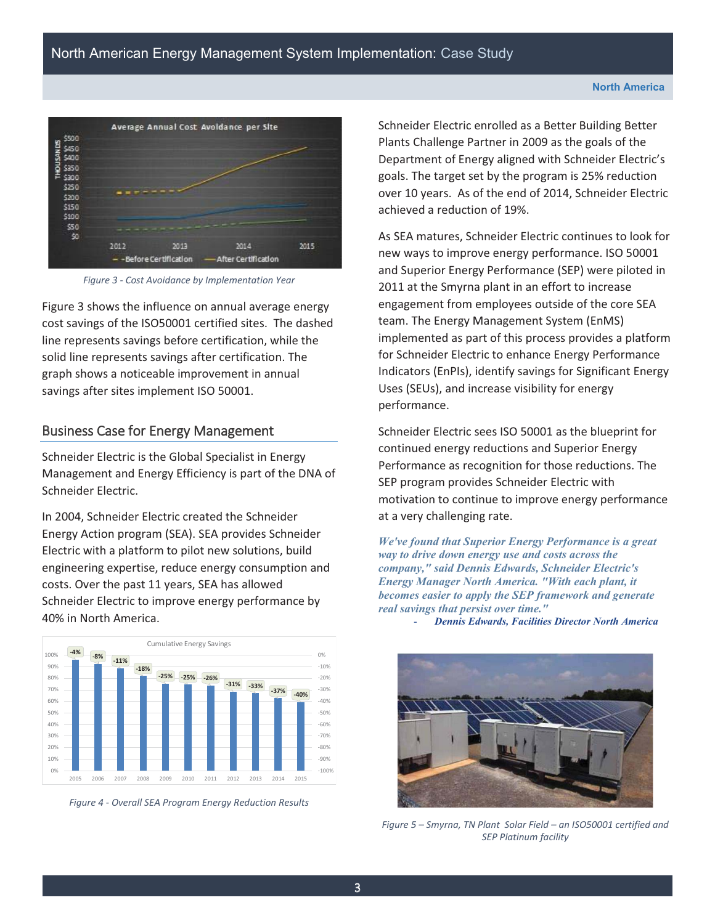

*Figure 3 - Cost Avoidance by Implementation Year* 

Figure 3 shows the influence on annual average energy cost savings of the ISO50001 certified sites. The dashed line represents savings before certification, while the solid line represents savings after certification. The graph shows a noticeable improvement in annual savings after sites implement ISO 50001.

#### Business Case for Energy Management

Schneider Electric is the Global Specialist in Energy Management and Energy Efficiency is part of the DNA of Schneider Electric.

In 2004, Schneider Electric created the Schneider Energy Action program (SEA). SEA provides Schneider Electric with a platform to pilot new solutions, build engineering expertise, reduce energy consumption and costs. Over the past 11 years, SEA has allowed Schneider Electric to improve energy performance by 40% in North America.



*Figure 4 - Overall SEA Program Energy Reduction Results* 

Schneider Electric enrolled as a Better Building Better Plants Challenge Partner in 2009 as the goals of the Department of Energy aligned with Schneider Electric's goals. The target set by the program is 25% reduction over 10 years. As of the end of 2014, Schneider Electric achieved a reduction of 19%.

As SEA matures, Schneider Electric continues to look for new ways to improve energy performance. ISO 50001 and Superior Energy Performance (SEP) were piloted in 2011 at the Smyrna plant in an effort to increase engagement from employees outside of the core SEA team. The Energy Management System (EnMS) implemented as part of this process provides a platform for Schneider Electric to enhance Energy Performance Indicators (EnPIs), identify savings for Significant Energy Uses (SEUs), and increase visibility for energy performance.

Schneider Electric sees ISO 50001 as the blueprint for continued energy reductions and Superior Energy Performance as recognition for those reductions. The SEP program provides Schneider Electric with motivation to continue to improve energy performance at a very challenging rate.

*We've found that Superior Energy Performance is a great way to drive down energy use and costs across the company," said Dennis Edwards, Schneider Electric's Energy Manager North America. "With each plant, it becomes easier to apply the SEP framework and generate real savings that persist over time."* 

- *Dennis Edwards, Facilities Director North America* 



*Figure 5 – Smyrna, TN Plant Solar Field – an ISO50001 certified and SEP Platinum facility*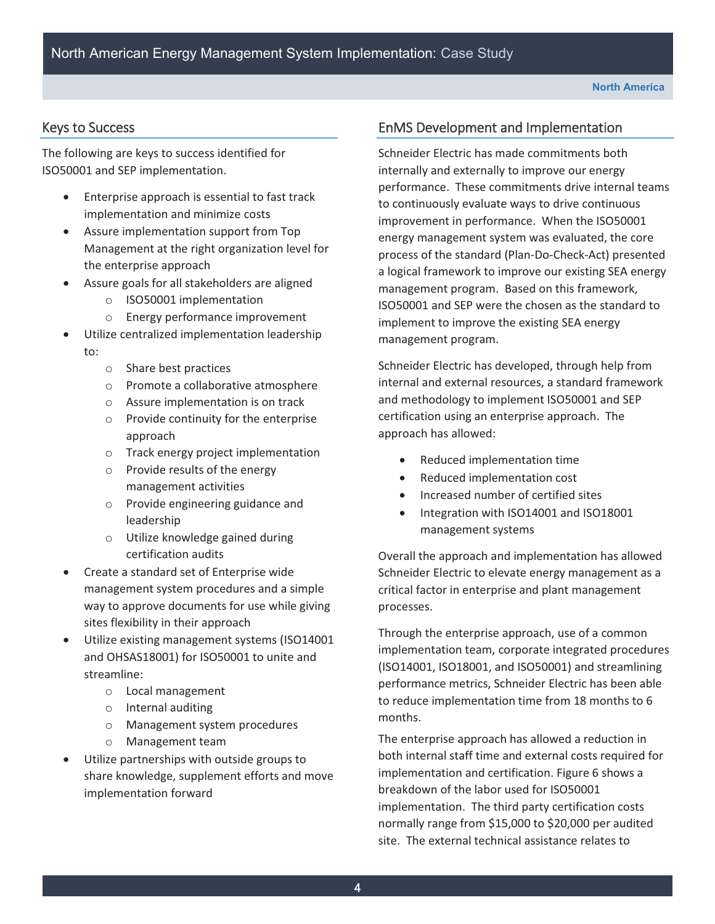#### Keys to Success

The following are keys to success identified for ISO50001 and SEP implementation.

- Enterprise approach is essential to fast track implementation and minimize costs
- • Assure implementation support from Top Management at the right organization level for the enterprise approach
- Assure goals for all stakeholders are aligned
	- o ISO50001 implementation
	- o Energy performance improvement
- Utilize centralized implementation leadership to:
	- o Share best practices
	- o Promote a collaborative atmosphere
	- $\circ$  Assure implementation is on track
	- $\circ$  Provide continuity for the enterprise approach
	- o Track energy project implementation
	- $\circ$  Provide results of the energy management activities
	- o Provide engineering guidance and leadership
	- o Utilize knowledge gained during certification audits
- Create a standard set of Enterprise wide management system procedures and a simple way to approve documents for use while giving sites flexibility in their approach
- Utilize existing management systems (ISO14001 and OHSAS18001) for ISO50001 to unite and streamline:
	- o Local management
	- o Internal auditing
	- o Management system procedures
	- o Management team
- Utilize partnerships with outside groups to share knowledge, supplement efforts and move implementation forward

#### EnMS Development and Implementation

Schneider Electric has made commitments both internally and externally to improve our energy performance. These commitments drive internal teams to continuously evaluate ways to drive continuous improvement in performance. When the ISO50001 energy management system was evaluated, the core process of the standard (Plan-Do-Check-Act) presented a logical framework to improve our existing SEA energy management program. Based on this framework, ISO50001 and SEP were the chosen as the standard to implement to improve the existing SEA energy management program.

Schneider Electric has developed, through help from internal and external resources, a standard framework and methodology to implement ISO50001 and SEP certification using an enterprise approach. The approach has allowed:

- Reduced implementation time
- • Reduced implementation cost
- Increased number of certified sites
- Integration with ISO14001 and ISO18001 management systems

Overall the approach and implementation has allowed Schneider Electric to elevate energy management as a critical factor in enterprise and plant management processes.

 to reduce implementation time from 18 months to 6 Through the enterprise approach, use of a common implementation team, corporate integrated procedures (ISO14001, ISO18001, and ISO50001) and streamlining performance metrics, Schneider Electric has been able months.

The enterprise approach has allowed a reduction in both internal staff time and external costs required for implementation and certification. Figure 6 shows a breakdown of the labor used for ISO50001 implementation. The third party certification costs normally range from \$15,000 to \$20,000 per audited site. The external technical assistance relates to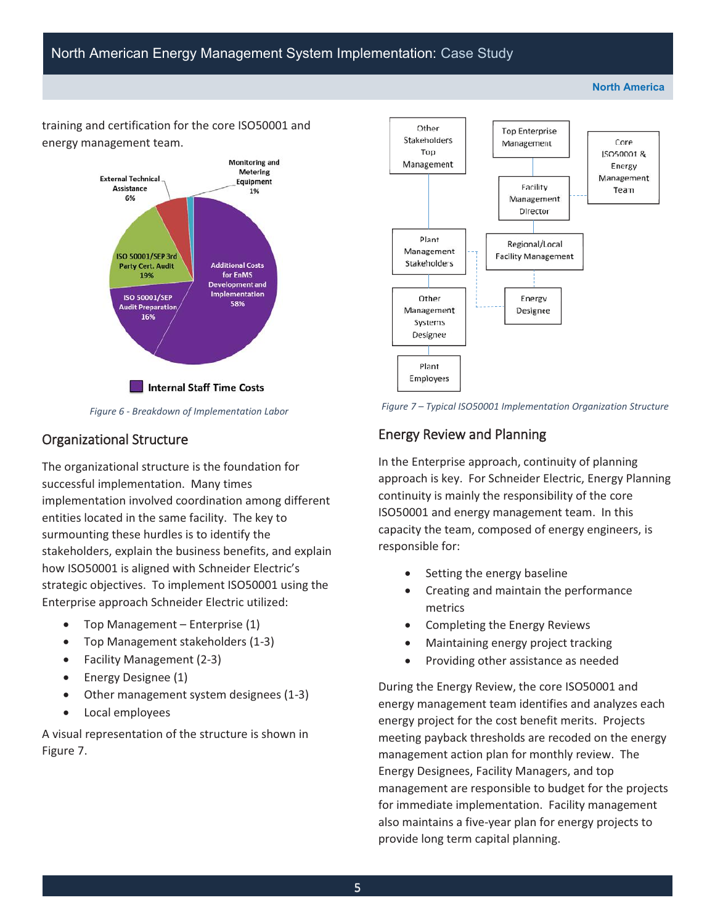**North America** 

 energy management team. training and certification for the core ISO50001 and



*Figure 6 - Breakdown of Implementation Labor* 

#### Organizational Structure

 surmounting these hurdles is to identify the The organizational structure is the foundation for successful implementation. Many times implementation involved coordination among different entities located in the same facility. The key to stakeholders, explain the business benefits, and explain how ISO50001 is aligned with Schneider Electric's strategic objectives. To implement ISO50001 using the Enterprise approach Schneider Electric utilized:

- Top Management Enterprise  $(1)$
- Top Management stakeholders (1-3)
- • Facility Management (2-3)
- Energy Designee (1)
- Other management system designees (1-3)
- Local employees

A visual representation of the structure is shown in Figure 7.





#### Energy Review and Planning

In the Enterprise approach, continuity of planning approach is key. For Schneider Electric, Energy Planning continuity is mainly the responsibility of the core ISO50001 and energy management team. In this capacity the team, composed of energy engineers, is responsible for:

- Setting the energy baseline
- • Creating and maintain the performance metrics
- Completing the Energy Reviews
- Maintaining energy project tracking
- • Providing other assistance as needed

During the Energy Review, the core ISO50001 and energy management team identifies and analyzes each energy project for the cost benefit merits. Projects meeting payback thresholds are recoded on the energy management action plan for monthly review. The Energy Designees, Facility Managers, and top management are responsible to budget for the projects for immediate implementation. Facility management also maintains a five-year plan for energy projects to provide long term capital planning.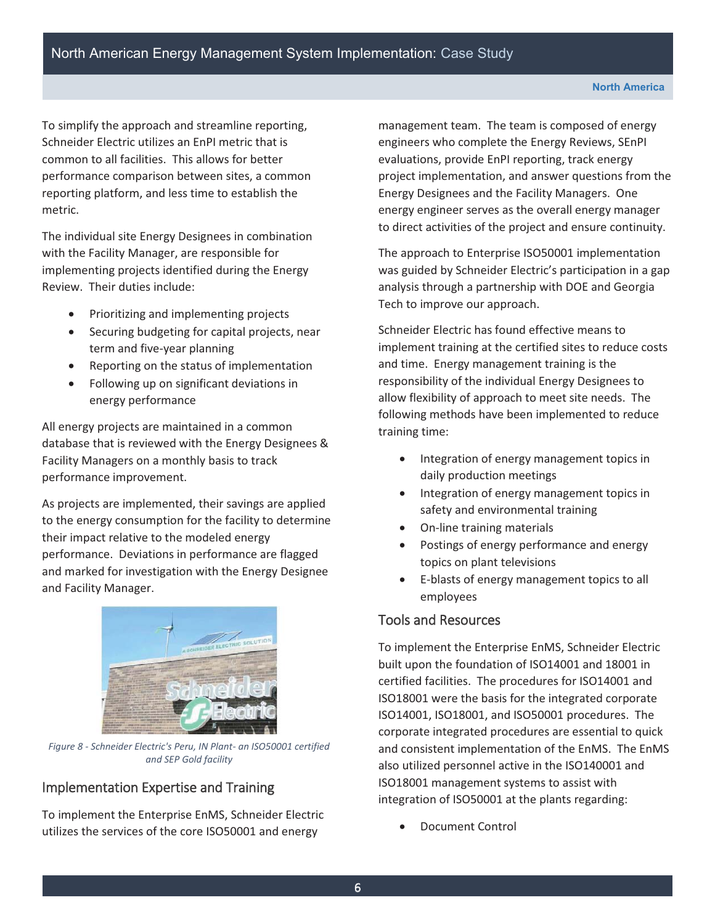To simplify the approach and streamline reporting, Schneider Electric utilizes an EnPI metric that is common to all facilities. This allows for better performance comparison between sites, a common reporting platform, and less time to establish the metric.

The individual site Energy Designees in combination with the Facility Manager, are responsible for implementing projects identified during the Energy Review. Their duties include:

- • Prioritizing and implementing projects
- • Securing budgeting for capital projects, near term and five-year planning
- • Reporting on the status of implementation
- • Following up on significant deviations in energy performance

 Facility Managers on a monthly basis to track All energy projects are maintained in a common database that is reviewed with the Energy Designees & performance improvement.

As projects are implemented, their savings are applied to the energy consumption for the facility to determine their impact relative to the modeled energy performance. Deviations in performance are flagged and marked for investigation with the Energy Designee and Facility Manager.



*Figure 8 - Schneider Electric's Peru, IN Plant- an ISO50001 certified and SEP Gold facility* 

#### Implementation Expertise and Training

To implement the Enterprise EnMS, Schneider Electric utilizes the services of the core ISO50001 and energy

management team. The team is composed of energy engineers who complete the Energy Reviews, SEnPI evaluations, provide EnPI reporting, track energy project implementation, and answer questions from the Energy Designees and the Facility Managers. One energy engineer serves as the overall energy manager to direct activities of the project and ensure continuity.

The approach to Enterprise ISO50001 implementation was guided by Schneider Electric's participation in a gap analysis through a partnership with DOE and Georgia Tech to improve our approach.

Schneider Electric has found effective means to implement training at the certified sites to reduce costs and time. Energy management training is the responsibility of the individual Energy Designees to allow flexibility of approach to meet site needs. The following methods have been implemented to reduce training time:

- Integration of energy management topics in daily production meetings
- Integration of energy management topics in safety and environmental training
- On-line training materials
- Postings of energy performance and energy topics on plant televisions
- • E-blasts of energy management topics to all employees

#### Tools and Resources

To implement the Enterprise EnMS, Schneider Electric built upon the foundation of ISO14001 and 18001 in certified facilities. The procedures for ISO14001 and ISO18001 were the basis for the integrated corporate ISO14001, ISO18001, and ISO50001 procedures. The corporate integrated procedures are essential to quick and consistent implementation of the EnMS. The EnMS also utilized personnel active in the ISO140001 and ISO18001 management systems to assist with integration of ISO50001 at the plants regarding:

Document Control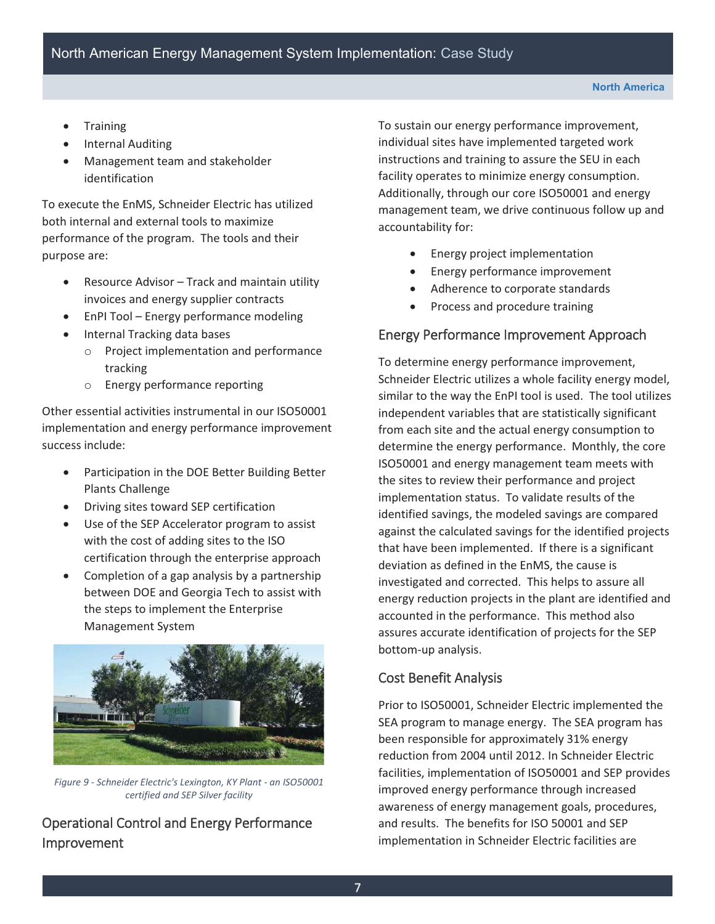- **Training**
- **Internal Auditing**
- Management team and stakeholder identification

 both internal and external tools to maximize To execute the EnMS, Schneider Electric has utilized performance of the program. The tools and their purpose are:

- Resource Advisor Track and maintain utility invoices and energy supplier contracts
- EnPI Tool Energy performance modeling
- Internal Tracking data bases
	- o Project implementation and performance tracking
	- o Energy performance reporting

Other essential activities instrumental in our ISO50001 implementation and energy performance improvement success include:

- Participation in the DOE Better Building Better Plants Challenge
- Driving sites toward SEP certification
- Use of the SEP Accelerator program to assist with the cost of adding sites to the ISO certification through the enterprise approach
- Completion of a gap analysis by a partnership between DOE and Georgia Tech to assist with the steps to implement the Enterprise Management System



*Figure 9 - Schneider Electric's Lexington, KY Plant - an ISO50001 certified and SEP Silver facility* 

### Operational Control and Energy Performance Improvement

To sustain our energy performance improvement, individual sites have implemented targeted work instructions and training to assure the SEU in each facility operates to minimize energy consumption. Additionally, through our core ISO50001 and energy management team, we drive continuous follow up and accountability for:

- Energy project implementation
- Energy performance improvement
- • Adherence to corporate standards
- • Process and procedure training

#### Energy Performance Improvement Approach

To determine energy performance improvement, Schneider Electric utilizes a whole facility energy model, similar to the way the EnPI tool is used. The tool utilizes independent variables that are statistically significant from each site and the actual energy consumption to determine the energy performance. Monthly, the core ISO50001 and energy management team meets with the sites to review their performance and project implementation status. To validate results of the identified savings, the modeled savings are compared against the calculated savings for the identified projects that have been implemented. If there is a significant deviation as defined in the EnMS, the cause is investigated and corrected. This helps to assure all energy reduction projects in the plant are identified and accounted in the performance. This method also assures accurate identification of projects for the SEP bottom-up analysis.

#### Cost Benefit Analysis

Prior to ISO50001, Schneider Electric implemented the SEA program to manage energy. The SEA program has been responsible for approximately 31% energy reduction from 2004 until 2012. In Schneider Electric facilities, implementation of ISO50001 and SEP provides improved energy performance through increased awareness of energy management goals, procedures, and results. The benefits for ISO 50001 and SEP implementation in Schneider Electric facilities are